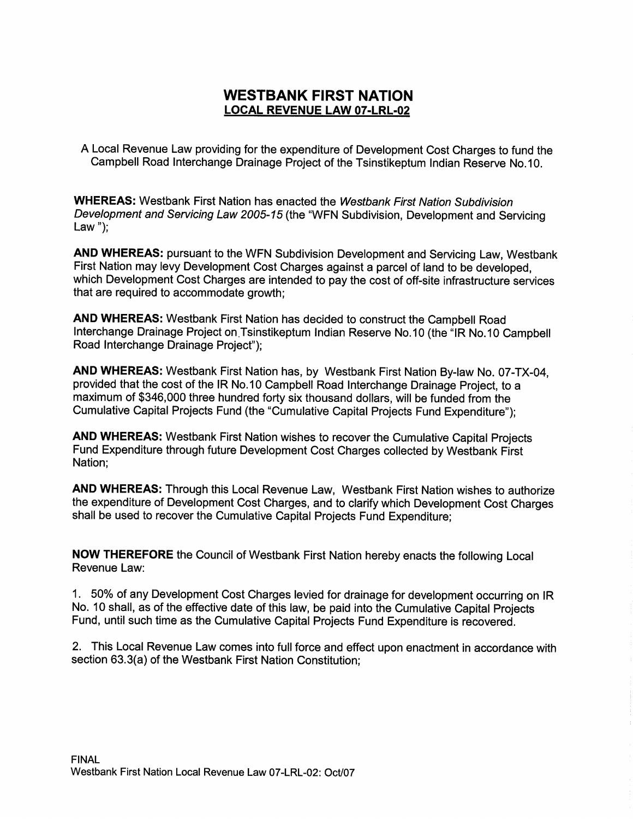### WESTBANK FIRST NATION LOCAL REVENUE LAW 07-LRL-02

A Local Revenue Law providing for the expenditure of Development cost Charges to fund the Campbell Road Interchange Drainage Project of the Tsinstikeptum Indian Reserve No. 10.

WHEREAS: Westbank First Nation has enacted the Westbank First Nation Subdivision Development and Servicing Law 2005-15 (the "WFN Subdivision, Development and Servicing Law" $)$ ;

AND WHEREAS: pursuant to the WFN Subdivision Development and Servicing Law, Westbank First Nation may levy Development cost Charges against a parcel of land to be developed, which Development Cost Charges are intended to pay the cost of off-site infrastructure services that are required to accommodate growth;

AND WHEREAS: Westbank First Nation has decided to construct the Campbell Road Interchange Drainage Project on.Tsinstikeptum Indian Reserve No.10 (the "IR No.10 Campbell Road Interchange Drainage Project");

AND WHEREAS: Westbank First Nation has, by Westbank First Nation By-law No. 07-TX-04, provided that the cost of the IR No. 10 Campbell Road Interchange Drainage Project, to a maximum of \$340,000 three hundred forty six thousand dollars, will be funded from the Cumulative Capital Projects Fund (the "Cumulative Capital Projects Fund Expenditure");

AND WHEREAS: Westbank First Nation wishes to recover the Cumulative capital Projects Fund Expenditure through future Development Cost charges collected by Westbank First Nation;

AND WHEREAS: Through this Local Revenue Law, Westbank First Nation wishes to authorize the expenditure of Development cost Charges, and to clarify which Development cost Charges shall be used to recover the Cumulative capital Projects Fund Expenditure;

NOW THEREFORE the council of Westbank First Nation hereby enacts the following Local Revenue Law:

1. 50% of any Development Cost Charges levied for drainage for development occurring on IR No. <sup>10</sup> shall, as of the effective date of this law, be paid into the cumulative Capital Projects Fund, until such time as the Cumulative Capital Projects Fund Expenditure is recovered.

2. This Local Revenue Law comes into full force and effect upon enactment in accordance with Fund, until such time as the Cumulative Capital Projects F<br>2. This Local Revenue Law comes into full force and effe<br>section 63.3(a) of the Westbank First Nation Constitution;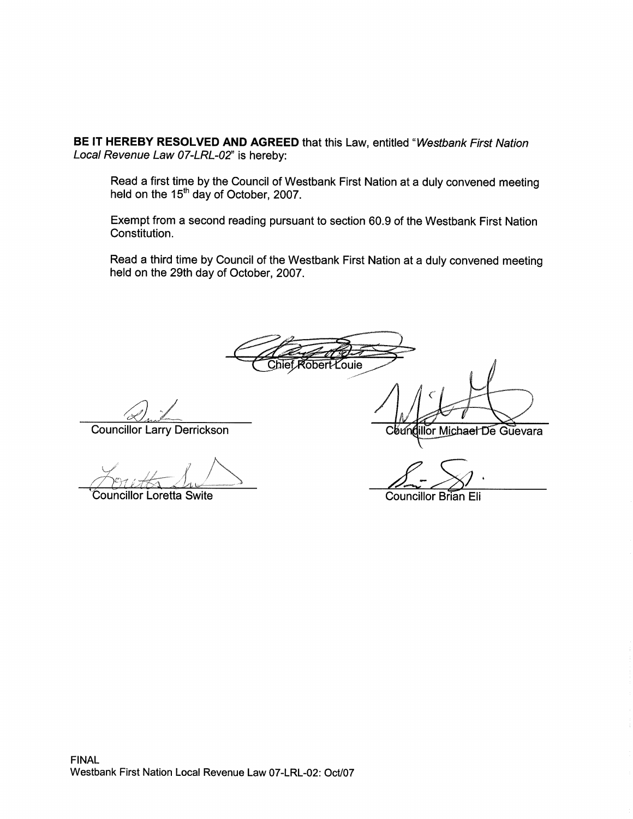BE IT HEREBY RESOLVED AND AGREED that this Law, entitled "Westbank First Nation Local Revenue Law 07-LRL-02" is hereby:

Read a first time by the Council of Westbank First Nation at a duly convened meeting held on the 15<sup>th</sup> day of October, 2007.

Exempt from <sup>a</sup> second reading pursuant to section 00.9 of the Westbank First Nation Constitution.

Read a third time by Council of the Westbank First Nation at a duly convened meeting held on the 29th day of October, 2007.

Chief Robert Louie

Councillor Larry Derrickson

f

Councillor Loretta Swite

Councillor Brian Eli

illor Michael De Guevara